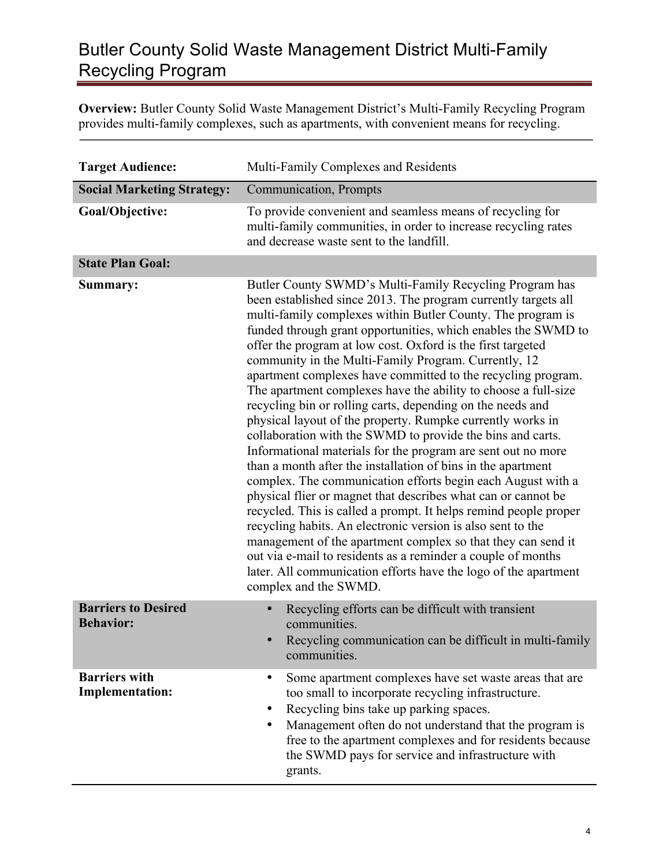## Butler County Solid Waste Management District Multi-Family Recycling Program

**Overview:** Butler County Solid Waste Management District's Multi-Family Recycling Program provides multi-family complexes, such as apartments, with convenient means for recycling.

| <b>Target Audience:</b>                        | Multi-Family Complexes and Residents                                                                                                                                                                                                                                                                                                                                                                                                                                                                                                                                                                                                                                                                                                                                                                                                                                                                                                                                                                                                                                                                                                                                                                                                                                                                                                        |
|------------------------------------------------|---------------------------------------------------------------------------------------------------------------------------------------------------------------------------------------------------------------------------------------------------------------------------------------------------------------------------------------------------------------------------------------------------------------------------------------------------------------------------------------------------------------------------------------------------------------------------------------------------------------------------------------------------------------------------------------------------------------------------------------------------------------------------------------------------------------------------------------------------------------------------------------------------------------------------------------------------------------------------------------------------------------------------------------------------------------------------------------------------------------------------------------------------------------------------------------------------------------------------------------------------------------------------------------------------------------------------------------------|
| <b>Social Marketing Strategy:</b>              | Communication, Prompts                                                                                                                                                                                                                                                                                                                                                                                                                                                                                                                                                                                                                                                                                                                                                                                                                                                                                                                                                                                                                                                                                                                                                                                                                                                                                                                      |
| Goal/Objective:                                | To provide convenient and seamless means of recycling for<br>multi-family communities, in order to increase recycling rates<br>and decrease waste sent to the landfill.                                                                                                                                                                                                                                                                                                                                                                                                                                                                                                                                                                                                                                                                                                                                                                                                                                                                                                                                                                                                                                                                                                                                                                     |
| <b>State Plan Goal:</b>                        |                                                                                                                                                                                                                                                                                                                                                                                                                                                                                                                                                                                                                                                                                                                                                                                                                                                                                                                                                                                                                                                                                                                                                                                                                                                                                                                                             |
| Summary:                                       | Butler County SWMD's Multi-Family Recycling Program has<br>been established since 2013. The program currently targets all<br>multi-family complexes within Butler County. The program is<br>funded through grant opportunities, which enables the SWMD to<br>offer the program at low cost. Oxford is the first targeted<br>community in the Multi-Family Program. Currently, 12<br>apartment complexes have committed to the recycling program.<br>The apartment complexes have the ability to choose a full-size<br>recycling bin or rolling carts, depending on the needs and<br>physical layout of the property. Rumpke currently works in<br>collaboration with the SWMD to provide the bins and carts.<br>Informational materials for the program are sent out no more<br>than a month after the installation of bins in the apartment<br>complex. The communication efforts begin each August with a<br>physical flier or magnet that describes what can or cannot be<br>recycled. This is called a prompt. It helps remind people proper<br>recycling habits. An electronic version is also sent to the<br>management of the apartment complex so that they can send it<br>out via e-mail to residents as a reminder a couple of months<br>later. All communication efforts have the logo of the apartment<br>complex and the SWMD. |
| <b>Barriers to Desired</b><br><b>Behavior:</b> | Recycling efforts can be difficult with transient<br>communities.<br>Recycling communication can be difficult in multi-family<br>communities.                                                                                                                                                                                                                                                                                                                                                                                                                                                                                                                                                                                                                                                                                                                                                                                                                                                                                                                                                                                                                                                                                                                                                                                               |
| <b>Barriers with</b><br><b>Implementation:</b> | Some apartment complexes have set waste areas that are<br>٠<br>too small to incorporate recycling infrastructure.<br>Recycling bins take up parking spaces.<br>Management often do not understand that the program is<br>free to the apartment complexes and for residents because<br>the SWMD pays for service and infrastructure with<br>grants.                                                                                                                                                                                                                                                                                                                                                                                                                                                                                                                                                                                                                                                                                                                                                                                                                                                                                                                                                                                          |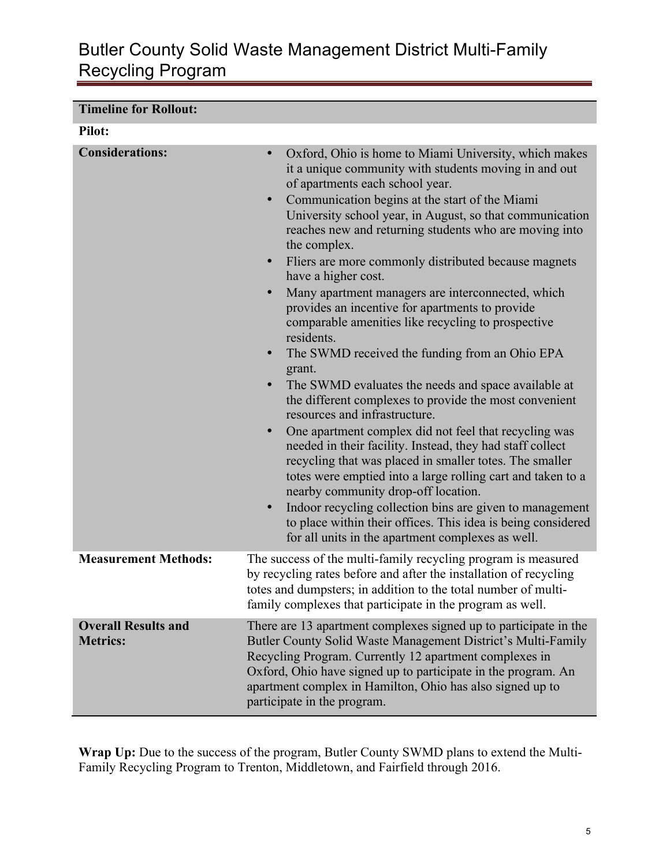## Butler County Solid Waste Management District Multi-Family Recycling Program

| <b>Timeline for Rollout:</b>                  |                                                                                                                                                                                                                                                                                                                                                                                                                                                                                                                                                                                                                                                                                                                                                                                                                                                                                                                                                                                                                                                                                                                                                                                                                                                                                                                                                                                                    |
|-----------------------------------------------|----------------------------------------------------------------------------------------------------------------------------------------------------------------------------------------------------------------------------------------------------------------------------------------------------------------------------------------------------------------------------------------------------------------------------------------------------------------------------------------------------------------------------------------------------------------------------------------------------------------------------------------------------------------------------------------------------------------------------------------------------------------------------------------------------------------------------------------------------------------------------------------------------------------------------------------------------------------------------------------------------------------------------------------------------------------------------------------------------------------------------------------------------------------------------------------------------------------------------------------------------------------------------------------------------------------------------------------------------------------------------------------------------|
| <b>Pilot:</b>                                 |                                                                                                                                                                                                                                                                                                                                                                                                                                                                                                                                                                                                                                                                                                                                                                                                                                                                                                                                                                                                                                                                                                                                                                                                                                                                                                                                                                                                    |
| <b>Considerations:</b>                        | Oxford, Ohio is home to Miami University, which makes<br>$\bullet$<br>it a unique community with students moving in and out<br>of apartments each school year.<br>Communication begins at the start of the Miami<br>$\bullet$<br>University school year, in August, so that communication<br>reaches new and returning students who are moving into<br>the complex.<br>Fliers are more commonly distributed because magnets<br>$\bullet$<br>have a higher cost.<br>Many apartment managers are interconnected, which<br>$\bullet$<br>provides an incentive for apartments to provide<br>comparable amenities like recycling to prospective<br>residents.<br>The SWMD received the funding from an Ohio EPA<br>$\bullet$<br>grant.<br>The SWMD evaluates the needs and space available at<br>$\bullet$<br>the different complexes to provide the most convenient<br>resources and infrastructure.<br>One apartment complex did not feel that recycling was<br>$\bullet$<br>needed in their facility. Instead, they had staff collect<br>recycling that was placed in smaller totes. The smaller<br>totes were emptied into a large rolling cart and taken to a<br>nearby community drop-off location.<br>Indoor recycling collection bins are given to management<br>$\bullet$<br>to place within their offices. This idea is being considered<br>for all units in the apartment complexes as well. |
| <b>Measurement Methods:</b>                   | The success of the multi-family recycling program is measured<br>by recycling rates before and after the installation of recycling<br>totes and dumpsters; in addition to the total number of multi-<br>family complexes that participate in the program as well.                                                                                                                                                                                                                                                                                                                                                                                                                                                                                                                                                                                                                                                                                                                                                                                                                                                                                                                                                                                                                                                                                                                                  |
| <b>Overall Results and</b><br><b>Metrics:</b> | There are 13 apartment complexes signed up to participate in the<br>Butler County Solid Waste Management District's Multi-Family<br>Recycling Program. Currently 12 apartment complexes in<br>Oxford, Ohio have signed up to participate in the program. An<br>apartment complex in Hamilton, Ohio has also signed up to<br>participate in the program.                                                                                                                                                                                                                                                                                                                                                                                                                                                                                                                                                                                                                                                                                                                                                                                                                                                                                                                                                                                                                                            |

Wrap Up: Due to the success of the program, Butler County SWMD plans to extend the Multi-Family Recycling Program to Trenton, Middletown, and Fairfield through 2016.